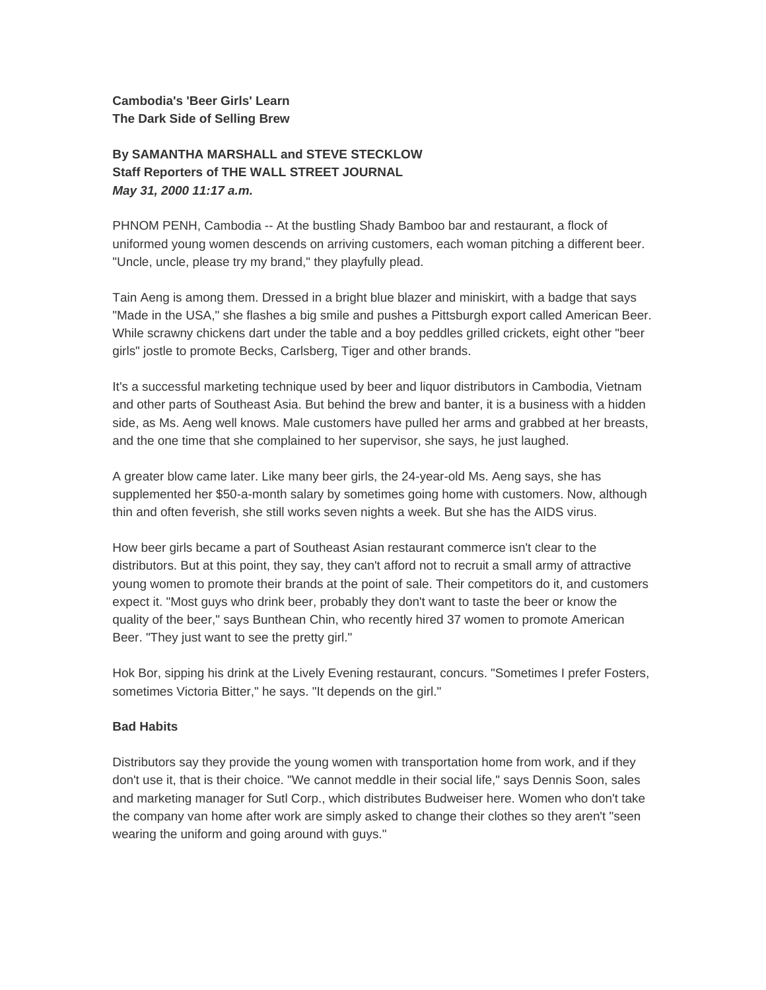# **Cambodia's 'Beer Girls' Learn The Dark Side of Selling Brew**

# **By SAMANTHA MARSHALL and STEVE STECKLOW Staff Reporters of THE WALL STREET JOURNAL**  *May 31, 2000 11:17 a.m.*

PHNOM PENH, Cambodia -- At the bustling Shady Bamboo bar and restaurant, a flock of uniformed young women descends on arriving customers, each woman pitching a different beer. "Uncle, uncle, please try my brand," they playfully plead.

Tain Aeng is among them. Dressed in a bright blue blazer and miniskirt, with a badge that says "Made in the USA," she flashes a big smile and pushes a Pittsburgh export called American Beer. While scrawny chickens dart under the table and a boy peddles grilled crickets, eight other "beer girls" jostle to promote Becks, Carlsberg, Tiger and other brands.

It's a successful marketing technique used by beer and liquor distributors in Cambodia, Vietnam and other parts of Southeast Asia. But behind the brew and banter, it is a business with a hidden side, as Ms. Aeng well knows. Male customers have pulled her arms and grabbed at her breasts, and the one time that she complained to her supervisor, she says, he just laughed.

A greater blow came later. Like many beer girls, the 24-year-old Ms. Aeng says, she has supplemented her \$50-a-month salary by sometimes going home with customers. Now, although thin and often feverish, she still works seven nights a week. But she has the AIDS virus.

How beer girls became a part of Southeast Asian restaurant commerce isn't clear to the distributors. But at this point, they say, they can't afford not to recruit a small army of attractive young women to promote their brands at the point of sale. Their competitors do it, and customers expect it. "Most guys who drink beer, probably they don't want to taste the beer or know the quality of the beer," says Bunthean Chin, who recently hired 37 women to promote American Beer. "They just want to see the pretty girl."

Hok Bor, sipping his drink at the Lively Evening restaurant, concurs. "Sometimes I prefer Fosters, sometimes Victoria Bitter," he says. "It depends on the girl."

## **Bad Habits**

Distributors say they provide the young women with transportation home from work, and if they don't use it, that is their choice. "We cannot meddle in their social life," says Dennis Soon, sales and marketing manager for Sutl Corp., which distributes Budweiser here. Women who don't take the company van home after work are simply asked to change their clothes so they aren't "seen wearing the uniform and going around with guys."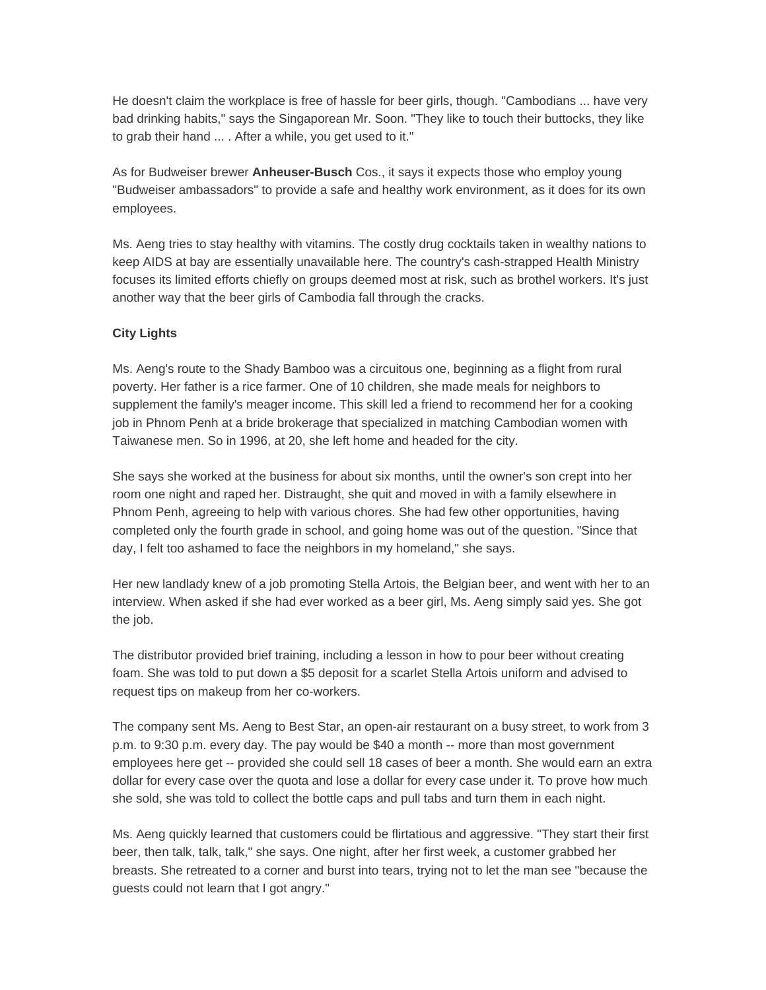He doesn't claim the workplace is free of hassle for beer girls, though. "Cambodians ... have very bad drinking habits," says the Singaporean Mr. Soon. "They like to touch their buttocks, they like to grab their hand ... . After a while, you get used to it."

As for Budweiser brewer **Anheuser-Busch** Cos., it says it expects those who employ young "Budweiser ambassadors" to provide a safe and healthy work environment, as it does for its own employees.

Ms. Aeng tries to stay healthy with vitamins. The costly drug cocktails taken in wealthy nations to keep AIDS at bay are essentially unavailable here. The country's cash-strapped Health Ministry focuses its limited efforts chiefly on groups deemed most at risk, such as brothel workers. It's just another way that the beer girls of Cambodia fall through the cracks.

### **City Lights**

Ms. Aeng's route to the Shady Bamboo was a circuitous one, beginning as a flight from rural poverty. Her father is a rice farmer. One of 10 children, she made meals for neighbors to supplement the family's meager income. This skill led a friend to recommend her for a cooking job in Phnom Penh at a bride brokerage that specialized in matching Cambodian women with Taiwanese men. So in 1996, at 20, she left home and headed for the city.

She says she worked at the business for about six months, until the owner's son crept into her room one night and raped her. Distraught, she quit and moved in with a family elsewhere in Phnom Penh, agreeing to help with various chores. She had few other opportunities, having completed only the fourth grade in school, and going home was out of the question. "Since that day, I felt too ashamed to face the neighbors in my homeland," she says.

Her new landlady knew of a job promoting Stella Artois, the Belgian beer, and went with her to an interview. When asked if she had ever worked as a beer girl, Ms. Aeng simply said yes. She got the job.

The distributor provided brief training, including a lesson in how to pour beer without creating foam. She was told to put down a \$5 deposit for a scarlet Stella Artois uniform and advised to request tips on makeup from her co-workers.

The company sent Ms. Aeng to Best Star, an open-air restaurant on a busy street, to work from 3 p.m. to 9:30 p.m. every day. The pay would be \$40 a month -- more than most government employees here get -- provided she could sell 18 cases of beer a month. She would earn an extra dollar for every case over the quota and lose a dollar for every case under it. To prove how much she sold, she was told to collect the bottle caps and pull tabs and turn them in each night.

Ms. Aeng quickly learned that customers could be flirtatious and aggressive. "They start their first beer, then talk, talk, talk," she says. One night, after her first week, a customer grabbed her breasts. She retreated to a corner and burst into tears, trying not to let the man see "because the guests could not learn that I got angry."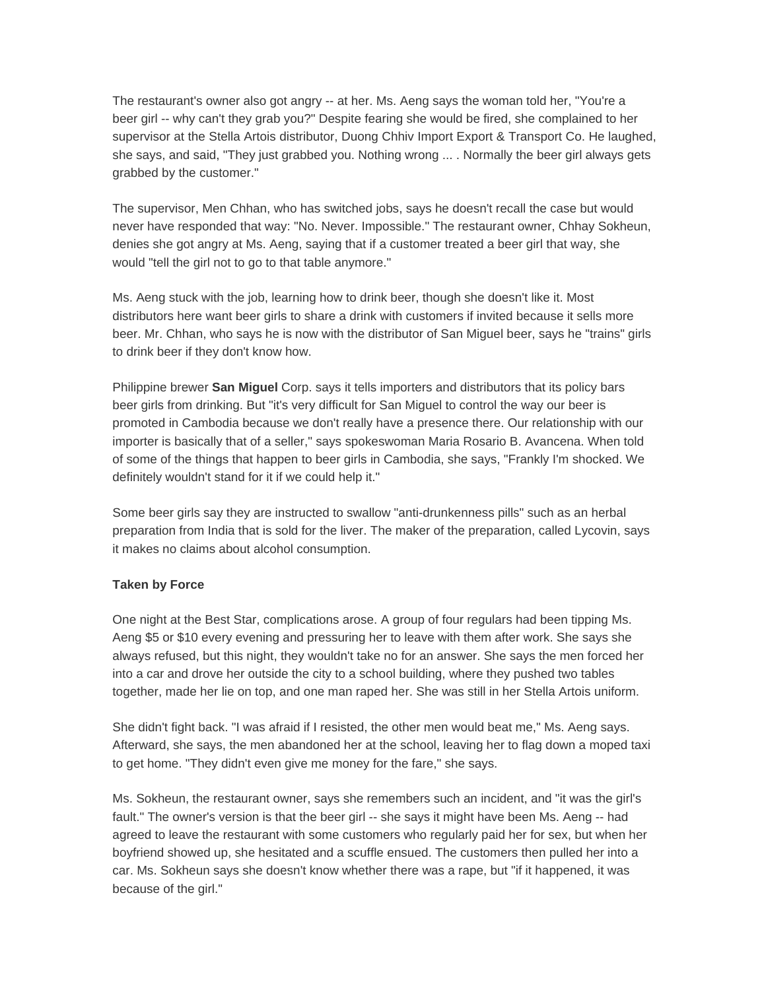The restaurant's owner also got angry -- at her. Ms. Aeng says the woman told her, "You're a beer girl -- why can't they grab you?" Despite fearing she would be fired, she complained to her supervisor at the Stella Artois distributor, Duong Chhiv Import Export & Transport Co. He laughed, she says, and said, "They just grabbed you. Nothing wrong ... . Normally the beer girl always gets grabbed by the customer."

The supervisor, Men Chhan, who has switched jobs, says he doesn't recall the case but would never have responded that way: "No. Never. Impossible." The restaurant owner, Chhay Sokheun, denies she got angry at Ms. Aeng, saying that if a customer treated a beer girl that way, she would "tell the girl not to go to that table anymore."

Ms. Aeng stuck with the job, learning how to drink beer, though she doesn't like it. Most distributors here want beer girls to share a drink with customers if invited because it sells more beer. Mr. Chhan, who says he is now with the distributor of San Miguel beer, says he "trains" girls to drink beer if they don't know how.

Philippine brewer **San Miguel** Corp. says it tells importers and distributors that its policy bars beer girls from drinking. But "it's very difficult for San Miguel to control the way our beer is promoted in Cambodia because we don't really have a presence there. Our relationship with our importer is basically that of a seller," says spokeswoman Maria Rosario B. Avancena. When told of some of the things that happen to beer girls in Cambodia, she says, "Frankly I'm shocked. We definitely wouldn't stand for it if we could help it."

Some beer girls say they are instructed to swallow "anti-drunkenness pills" such as an herbal preparation from India that is sold for the liver. The maker of the preparation, called Lycovin, says it makes no claims about alcohol consumption.

## **Taken by Force**

One night at the Best Star, complications arose. A group of four regulars had been tipping Ms. Aeng \$5 or \$10 every evening and pressuring her to leave with them after work. She says she always refused, but this night, they wouldn't take no for an answer. She says the men forced her into a car and drove her outside the city to a school building, where they pushed two tables together, made her lie on top, and one man raped her. She was still in her Stella Artois uniform.

She didn't fight back. "I was afraid if I resisted, the other men would beat me," Ms. Aeng says. Afterward, she says, the men abandoned her at the school, leaving her to flag down a moped taxi to get home. "They didn't even give me money for the fare," she says.

Ms. Sokheun, the restaurant owner, says she remembers such an incident, and "it was the girl's fault." The owner's version is that the beer girl -- she says it might have been Ms. Aeng -- had agreed to leave the restaurant with some customers who regularly paid her for sex, but when her boyfriend showed up, she hesitated and a scuffle ensued. The customers then pulled her into a car. Ms. Sokheun says she doesn't know whether there was a rape, but "if it happened, it was because of the girl."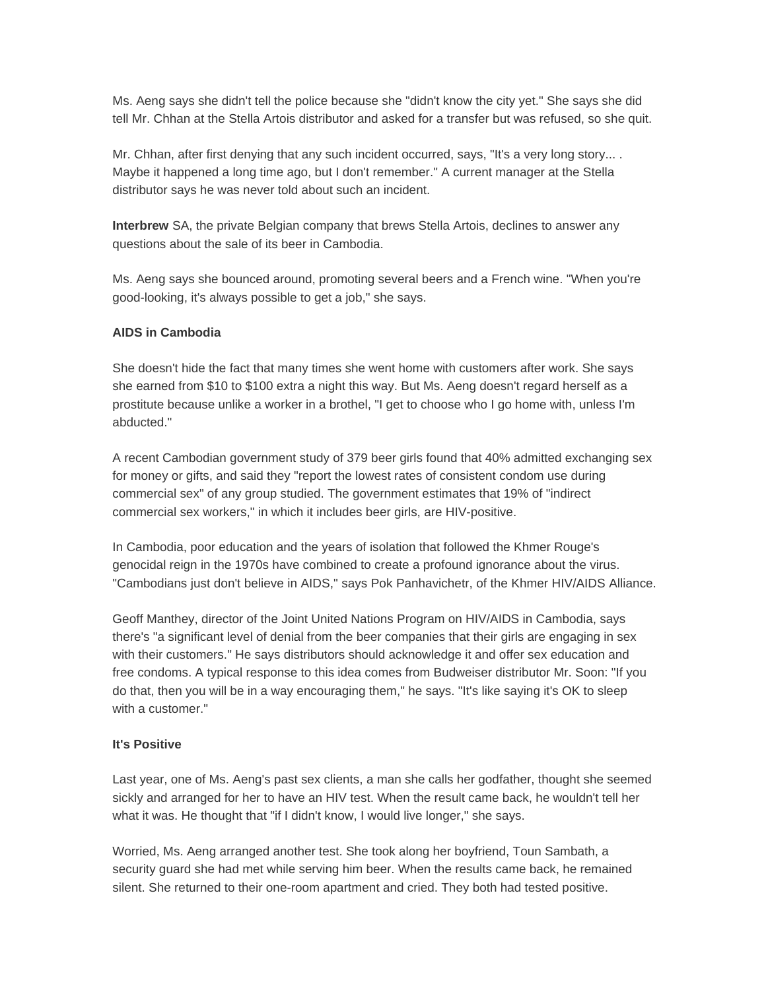Ms. Aeng says she didn't tell the police because she "didn't know the city yet." She says she did tell Mr. Chhan at the Stella Artois distributor and asked for a transfer but was refused, so she quit.

Mr. Chhan, after first denying that any such incident occurred, says, "It's a very long story... . Maybe it happened a long time ago, but I don't remember." A current manager at the Stella distributor says he was never told about such an incident.

**Interbrew** SA, the private Belgian company that brews Stella Artois, declines to answer any questions about the sale of its beer in Cambodia.

Ms. Aeng says she bounced around, promoting several beers and a French wine. "When you're good-looking, it's always possible to get a job," she says.

#### **AIDS in Cambodia**

She doesn't hide the fact that many times she went home with customers after work. She says she earned from \$10 to \$100 extra a night this way. But Ms. Aeng doesn't regard herself as a prostitute because unlike a worker in a brothel, "I get to choose who I go home with, unless I'm abducted."

A recent Cambodian government study of 379 beer girls found that 40% admitted exchanging sex for money or gifts, and said they "report the lowest rates of consistent condom use during commercial sex" of any group studied. The government estimates that 19% of "indirect commercial sex workers," in which it includes beer girls, are HIV-positive.

In Cambodia, poor education and the years of isolation that followed the Khmer Rouge's genocidal reign in the 1970s have combined to create a profound ignorance about the virus. "Cambodians just don't believe in AIDS," says Pok Panhavichetr, of the Khmer HIV/AIDS Alliance.

Geoff Manthey, director of the Joint United Nations Program on HIV/AIDS in Cambodia, says there's "a significant level of denial from the beer companies that their girls are engaging in sex with their customers." He says distributors should acknowledge it and offer sex education and free condoms. A typical response to this idea comes from Budweiser distributor Mr. Soon: "If you do that, then you will be in a way encouraging them," he says. "It's like saying it's OK to sleep with a customer."

### **It's Positive**

Last year, one of Ms. Aeng's past sex clients, a man she calls her godfather, thought she seemed sickly and arranged for her to have an HIV test. When the result came back, he wouldn't tell her what it was. He thought that "if I didn't know, I would live longer," she says.

Worried, Ms. Aeng arranged another test. She took along her boyfriend, Toun Sambath, a security guard she had met while serving him beer. When the results came back, he remained silent. She returned to their one-room apartment and cried. They both had tested positive.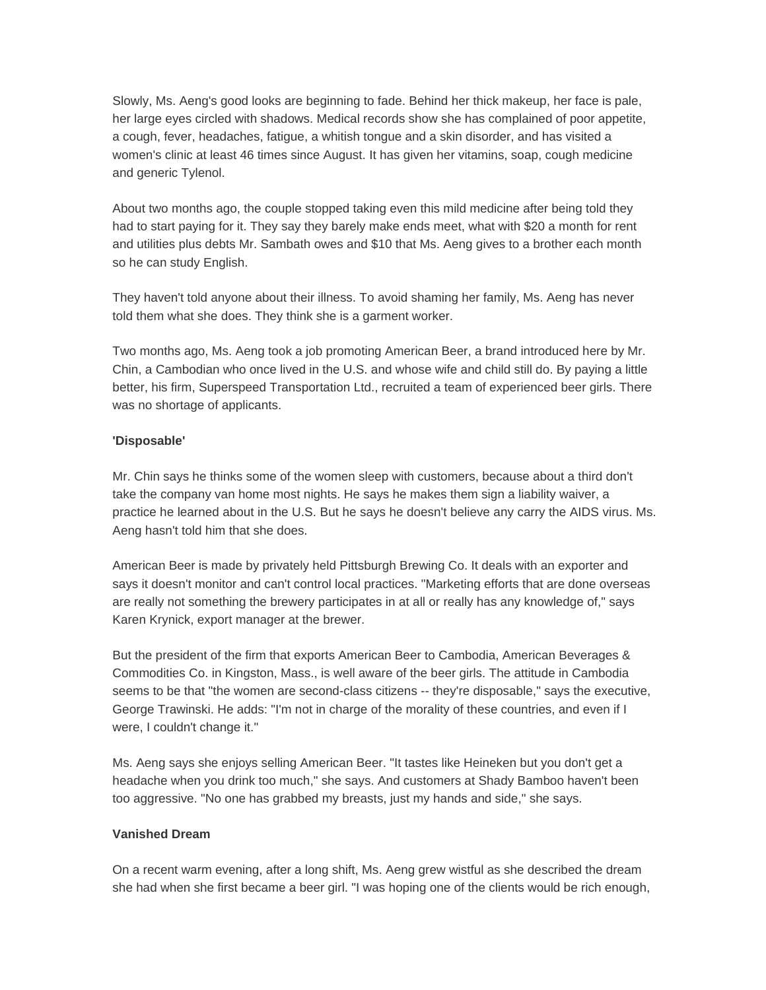Slowly, Ms. Aeng's good looks are beginning to fade. Behind her thick makeup, her face is pale, her large eyes circled with shadows. Medical records show she has complained of poor appetite, a cough, fever, headaches, fatigue, a whitish tongue and a skin disorder, and has visited a women's clinic at least 46 times since August. It has given her vitamins, soap, cough medicine and generic Tylenol.

About two months ago, the couple stopped taking even this mild medicine after being told they had to start paying for it. They say they barely make ends meet, what with \$20 a month for rent and utilities plus debts Mr. Sambath owes and \$10 that Ms. Aeng gives to a brother each month so he can study English.

They haven't told anyone about their illness. To avoid shaming her family, Ms. Aeng has never told them what she does. They think she is a garment worker.

Two months ago, Ms. Aeng took a job promoting American Beer, a brand introduced here by Mr. Chin, a Cambodian who once lived in the U.S. and whose wife and child still do. By paying a little better, his firm, Superspeed Transportation Ltd., recruited a team of experienced beer girls. There was no shortage of applicants.

### **'Disposable'**

Mr. Chin says he thinks some of the women sleep with customers, because about a third don't take the company van home most nights. He says he makes them sign a liability waiver, a practice he learned about in the U.S. But he says he doesn't believe any carry the AIDS virus. Ms. Aeng hasn't told him that she does.

American Beer is made by privately held Pittsburgh Brewing Co. It deals with an exporter and says it doesn't monitor and can't control local practices. "Marketing efforts that are done overseas are really not something the brewery participates in at all or really has any knowledge of," says Karen Krynick, export manager at the brewer.

But the president of the firm that exports American Beer to Cambodia, American Beverages & Commodities Co. in Kingston, Mass., is well aware of the beer girls. The attitude in Cambodia seems to be that "the women are second-class citizens -- they're disposable," says the executive, George Trawinski. He adds: "I'm not in charge of the morality of these countries, and even if I were, I couldn't change it."

Ms. Aeng says she enjoys selling American Beer. "It tastes like Heineken but you don't get a headache when you drink too much," she says. And customers at Shady Bamboo haven't been too aggressive. "No one has grabbed my breasts, just my hands and side," she says.

#### **Vanished Dream**

On a recent warm evening, after a long shift, Ms. Aeng grew wistful as she described the dream she had when she first became a beer girl. "I was hoping one of the clients would be rich enough,